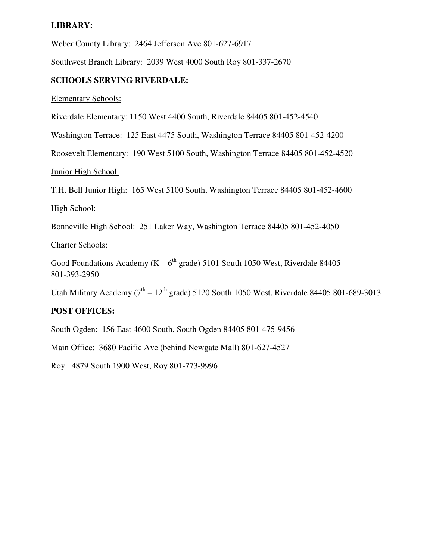#### **LIBRARY:**

Weber County Library: 2464 Jefferson Ave 801-627-6917

Southwest Branch Library: 2039 West 4000 South Roy 801-337-2670

#### **SCHOOLS SERVING RIVERDALE:**

Elementary Schools:

Riverdale Elementary: 1150 West 4400 South, Riverdale 84405 801-452-4540

Washington Terrace: 125 East 4475 South, Washington Terrace 84405 801-452-4200

Roosevelt Elementary: 190 West 5100 South, Washington Terrace 84405 801-452-4520

Junior High School:

T.H. Bell Junior High: 165 West 5100 South, Washington Terrace 84405 801-452-4600

High School:

Bonneville High School: 251 Laker Way, Washington Terrace 84405 801-452-4050

Charter Schools:

Good Foundations Academy ( $K - 6<sup>th</sup>$  grade) 5101 South 1050 West, Riverdale 84405 801-393-2950

Utah Military Academy ( $7<sup>th</sup> - 12<sup>th</sup>$  grade) 5120 South 1050 West, Riverdale 84405 801-689-3013

#### **POST OFFICES:**

South Ogden: 156 East 4600 South, South Ogden 84405 801-475-9456

Main Office: 3680 Pacific Ave (behind Newgate Mall) 801-627-4527

Roy: 4879 South 1900 West, Roy 801-773-9996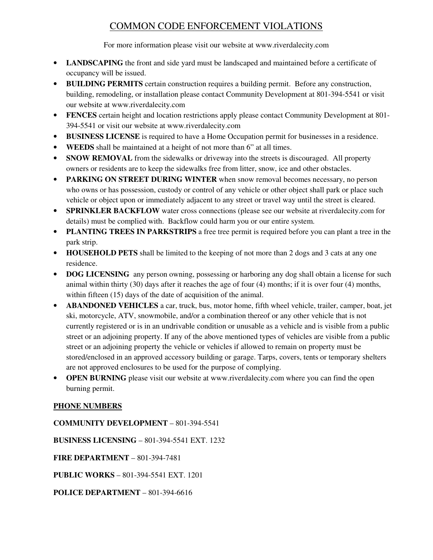## COMMON CODE ENFORCEMENT VIOLATIONS

For more information please visit our website at www.riverdalecity.com

- **LANDSCAPING** the front and side yard must be landscaped and maintained before a certificate of occupancy will be issued.
- **BUILDING PERMITS** certain construction requires a building permit. Before any construction, building, remodeling, or installation please contact Community Development at 801-394-5541 or visit our website at www.riverdalecity.com
- **FENCES** certain height and location restrictions apply please contact Community Development at 801- 394-5541 or visit our website at www.riverdalecity.com
- **BUSINESS LICENSE** is required to have a Home Occupation permit for businesses in a residence.
- **WEEDS** shall be maintained at a height of not more than 6" at all times.
- **SNOW REMOVAL** from the sidewalks or driveway into the streets is discouraged. All property owners or residents are to keep the sidewalks free from litter, snow, ice and other obstacles.
- **PARKING ON STREET DURING WINTER** when snow removal becomes necessary, no person who owns or has possession, custody or control of any vehicle or other object shall park or place such vehicle or object upon or immediately adjacent to any street or travel way until the street is cleared.
- **SPRINKLER BACKFLOW** water cross connections (please see our website at riverdalecity.com for details) must be complied with. Backflow could harm you or our entire system.
- **PLANTING TREES IN PARKSTRIPS** a free tree permit is required before you can plant a tree in the park strip.
- **HOUSEHOLD PETS** shall be limited to the keeping of not more than 2 dogs and 3 cats at any one residence.
- **DOG LICENSING** any person owning, possessing or harboring any dog shall obtain a license for such animal within thirty (30) days after it reaches the age of four (4) months; if it is over four (4) months, within fifteen (15) days of the date of acquisition of the animal.
- **ABANDONED VEHICLES** a car, truck, bus, motor home, fifth wheel vehicle, trailer, camper, boat, jet ski, motorcycle, ATV, snowmobile, and/or a combination thereof or any other vehicle that is not currently registered or is in an undrivable condition or unusable as a vehicle and is visible from a public street or an adjoining property. If any of the above mentioned types of vehicles are visible from a public street or an adjoining property the vehicle or vehicles if allowed to remain on property must be stored/enclosed in an approved accessory building or garage. Tarps, covers, tents or temporary shelters are not approved enclosures to be used for the purpose of complying.
- **OPEN BURNING** please visit our website at www.riverdalecity.com where you can find the open burning permit.

#### **PHONE NUMBERS**

**COMMUNITY DEVELOPMENT** – 801-394-5541

**BUSINESS LICENSING** – 801-394-5541 EXT. 1232

**FIRE DEPARTMENT** – 801-394-7481

**PUBLIC WORKS** – 801-394-5541 EXT. 1201

**POLICE DEPARTMENT** – 801-394-6616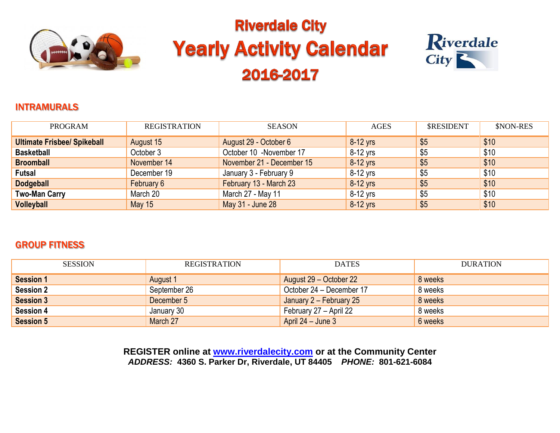

# **Riverdale City Yearly Activity Calendar** 2016-2017



#### INTRAMURALS

| <b>PROGRAM</b>                     | <b>REGISTRATION</b> | <b>SEASON</b>             | <b>AGES</b> | <b>\$RESIDENT</b> | \$NON-RES |
|------------------------------------|---------------------|---------------------------|-------------|-------------------|-----------|
| <b>Ultimate Frisbee/ Spikeball</b> | August 15           | August 29 - October 6     | 8-12 yrs    | \$5               | \$10      |
| <b>Basketball</b>                  | October 3           | October 10 -November 17   | 8-12 vrs    | \$5               | \$10      |
| <b>Broomball</b>                   | November 14         | November 21 - December 15 | 8-12 yrs    | \$5               | \$10      |
| <b>Futsal</b>                      | December 19         | January 3 - February 9    | 8-12 yrs    | \$5               | \$10      |
| <b>Dodgeball</b>                   | February 6          | February 13 - March 23    | 8-12 yrs    | \$5               | \$10      |
| <b>Two-Man Carry</b>               | March 20            | March 27 - May 11         | 8-12 yrs    | \$5               | \$10      |
| <b>Volleyball</b>                  | <b>May 15</b>       | May 31 - June 28          | $8-12$ yrs  | \$5               | \$10      |

### GROUP FITNESS

| <b>SESSION</b>   | <b>REGISTRATION</b> | <b>DATES</b>             | <b>DURATION</b> |
|------------------|---------------------|--------------------------|-----------------|
| <b>Session 1</b> | August 1            | August 29 – October 22   | 8 weeks         |
| <b>Session 2</b> | September 26        | October 24 – December 17 | 8 weeks         |
| <b>Session 3</b> | December 5          | January 2 - February 25  | 8 weeks         |
| <b>Session 4</b> | January 30          | February 27 - April 22   | 8 weeks         |
| <b>Session 5</b> | March 27            | April $24 -$ June 3      | 6 weeks         |

**REGISTER online at [www.riverdalecity.com](http://www.riverdalecity.com/) or at the Community Center** *ADDRESS:* **4360 S. Parker Dr, Riverdale, UT 84405** *PHONE:* **801-621-6084**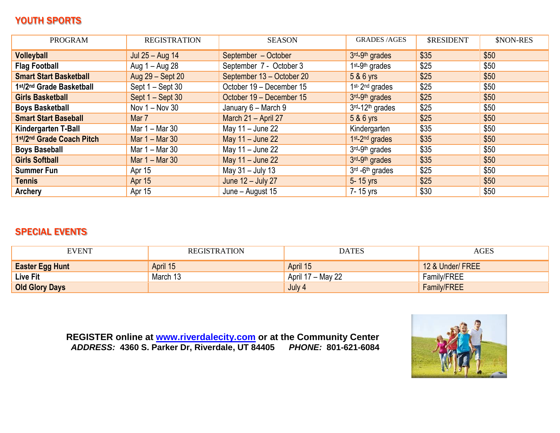# YOUTH SPORTS

| <b>PROGRAM</b>                | <b>REGISTRATION</b> | <b>SEASON</b>             | <b>GRADES /AGES</b>                     | <b>\$RESIDENT</b> | \$NON-RES |
|-------------------------------|---------------------|---------------------------|-----------------------------------------|-------------------|-----------|
| <b>Volleyball</b>             | Jul 25 - Aug 14     | September - October       | 3rd <sub>-9th</sub> grades              | \$35              | \$50      |
| <b>Flag Football</b>          | Aug 1 – Aug 28      | September 7 - October 3   | 1 <sup>st</sup> -9 <sup>th</sup> grades | \$25              | \$50      |
| <b>Smart Start Basketball</b> | Aug 29 - Sept 20    | September 13 - October 20 | 5 & 6 yrs                               | \$25              | \$50      |
| 1st/2nd Grade Basketball      | Sept 1 – Sept 30    | October 19 - December 15  | 1 <sup>st-2nd</sup> grades              | \$25              | \$50      |
| <b>Girls Basketball</b>       | Sept 1 – Sept 30    | October 19 - December 15  | 3rd <sub>-9th</sub> grades              | \$25              | \$50      |
| <b>Boys Basketball</b>        | Nov $1 -$ Nov 30    | January 6 - March 9       | 3rd-12 <sup>th</sup> grades             | \$25              | \$50      |
| <b>Smart Start Baseball</b>   | Mar 7               | March 21 - April 27       | 5 & 6 yrs                               | \$25              | \$50      |
| Kindergarten T-Ball           | Mar 1 – Mar 30      | May 11 - June 22          | Kindergarten                            | \$35              | \$50      |
| 1st/2nd Grade Coach Pitch     | Mar $1 -$ Mar 30    | May $11 -$ June 22        | 1 <sup>st</sup> -2 <sup>nd</sup> grades | \$35              | \$50      |
| <b>Boys Baseball</b>          | Mar 1 – Mar 30      | May 11 - June 22          | 3rd-9th grades                          | \$35              | \$50      |
| <b>Girls Softball</b>         | Mar $1 -$ Mar 30    | May 11 - June 22          | 3rd <sub>-9th</sub> grades              | \$35              | \$50      |
| <b>Summer Fun</b>             | Apr 15              | May 31 - July 13          | 3rd -6th grades                         | \$25              | \$50      |
| Tennis                        | Apr 15              | June 12 - July 27         | 5-15 yrs                                | \$25              | \$50      |
| Archery                       | Apr 15              | June - August 15          | 7-15 yrs                                | \$30              | \$50      |

# SPECIAL EVENTS

| <b>EVENT</b>           | REGISTRATION | <b>DATES</b>      | <b>AGES</b>        |
|------------------------|--------------|-------------------|--------------------|
| <b>Easter Egg Hunt</b> | April 15     | April 15          | 12 & Under/ FREE   |
| <b>Live Fit</b>        | March 13     | April 17 – May 22 | Family/FREE        |
| <b>Old Glory Days</b>  |              | July 4            | <b>Family/FREE</b> |

**REGISTER online at [www.riverdalecity.com](http://www.riverdalecity.com/) or at the Community Center** *ADDRESS:* **4360 S. Parker Dr, Riverdale, UT 84405** *PHONE:* **801-621-6084**

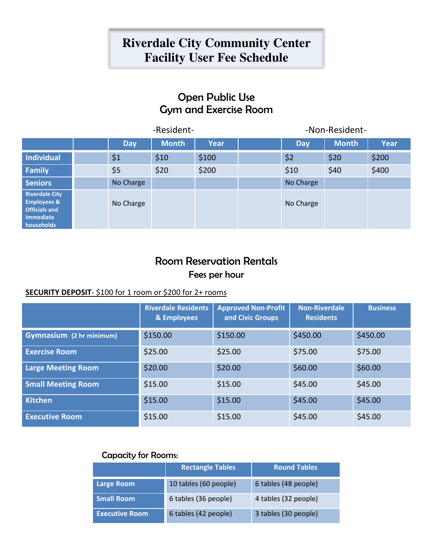# **Riverdale City Community Center Facility User Fee Schedule**

# Open Public Use Gym and Exercise Room

|                                                                                                    | -Resident- |              |             |            | -Non-Resident- |             |
|----------------------------------------------------------------------------------------------------|------------|--------------|-------------|------------|----------------|-------------|
|                                                                                                    | <b>Day</b> | <b>Month</b> | <b>Year</b> | <b>Day</b> | <b>Month</b>   | <b>Year</b> |
| Individual                                                                                         | \$1        | \$10         | \$100       | \$2        | \$20           | \$200       |
| Family                                                                                             | \$5        | \$20         | \$200       | \$10       | \$40           | \$400       |
| <b>Seniors</b>                                                                                     | No Charge  |              |             | No Charge  |                |             |
| <b>Riverdale City</b><br><b>Employees &amp;</b><br><b>Officials and</b><br>Immediate<br>households | No Charge  |              |             | No Charge  |                |             |

# Room Reservation Rentals Fees per hour

#### **SECURITY DEPOSIT**- \$100 for 1 room or \$200 for 2+ rooms

|                                 | <b>Riverdale Residents</b><br>& Employees | <b>Approved Non-Profit</b><br>and Civic Groups | <b>Non-Riverdale</b><br><b>Residents</b> | <b>Business</b> |
|---------------------------------|-------------------------------------------|------------------------------------------------|------------------------------------------|-----------------|
| <b>Gymnasium</b> (2 hr minimum) | \$150.00                                  | \$150.00                                       | \$450.00                                 | \$450.00        |
| <b>Exercise Room</b>            | \$25.00                                   | \$25.00                                        | \$75.00                                  | \$75.00         |
| <b>Large Meeting Room</b>       | \$20.00                                   | \$20.00                                        | \$60.00                                  | \$60.00         |
| <b>Small Meeting Room</b>       | \$15.00                                   | \$15.00                                        | \$45.00                                  | \$45.00         |
| <b>Kitchen</b>                  | \$15.00                                   | \$15.00                                        | \$45.00                                  | \$45.00         |
| <b>Executive Room</b>           | \$15.00                                   | \$15.00                                        | \$45.00                                  | \$45.00         |

#### Capacity for Rooms:

|                       | <b>Rectangle Tables</b> | <b>Round Tables</b>  |
|-----------------------|-------------------------|----------------------|
| <b>Large Room</b>     | 10 tables (60 people)   | 6 tables (48 people) |
| <b>Small Room</b>     | 6 tables (36 people)    | 4 tables (32 people) |
| <b>Executive Room</b> | 6 tables (42 people)    | 3 tables (30 people) |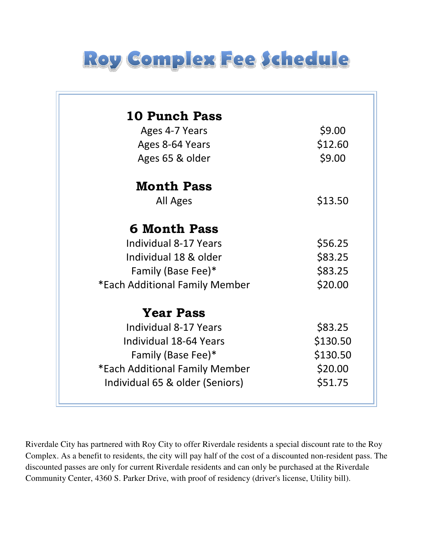

| <b>10 Punch Pass</b>            |          |
|---------------------------------|----------|
| Ages 4-7 Years                  | \$9.00   |
| Ages 8-64 Years                 | \$12.60  |
| Ages 65 & older                 | \$9.00   |
| <b>Month Pass</b>               |          |
| <b>All Ages</b>                 | \$13.50  |
| <b>6 Month Pass</b>             |          |
| <b>Individual 8-17 Years</b>    | \$56.25  |
| Individual 18 & older           | \$83.25  |
| Family (Base Fee)*              | \$83.25  |
| *Each Additional Family Member  | \$20.00  |
| <b>Year Pass</b>                |          |
| <b>Individual 8-17 Years</b>    | \$83.25  |
| Individual 18-64 Years          | \$130.50 |
| Family (Base Fee)*              | \$130.50 |
| *Each Additional Family Member  | \$20.00  |
| Individual 65 & older (Seniors) | \$51.75  |

Riverdale City has partnered with Roy City to offer Riverdale residents a special discount rate to the Roy Complex. As a benefit to residents, the city will pay half of the cost of a discounted non-resident pass. The discounted passes are only for current Riverdale residents and can only be purchased at the Riverdale Community Center, 4360 S. Parker Drive, with proof of residency (driver's license, Utility bill).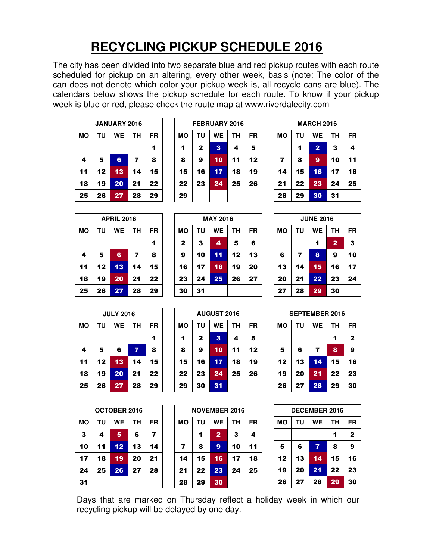# **RECYCLING PICKUP SCHEDULE 2016**

The city has been divided into two separate blue and red pickup routes with each route scheduled for pickup on an altering, every other week, basis (note: The color of the can does not denote which color your pickup week is, all recycle cans are blue). The calendars below shows the pickup schedule for each route. To know if your pickup week is blue or red, please check the route map at www.riverdalecity.com

| <b>JANUARY 2016</b>        |    |    |    |    |  |  |
|----------------------------|----|----|----|----|--|--|
| MО<br>WE<br>ΤU<br>ΤН<br>FR |    |    |    |    |  |  |
|                            |    |    |    | 1  |  |  |
| 4                          | 5  | 6  | 7  | 8  |  |  |
| 11                         | 12 | 13 | 14 | 15 |  |  |
| 18                         | 19 | 20 | 21 | 22 |  |  |
| 25                         | 26 | 27 | 28 | 29 |  |  |

| <b>FEBRUARY 2016</b> |              |           |    |    |  |
|----------------------|--------------|-----------|----|----|--|
| MΟ                   | ΤU           | <b>WE</b> | ΤН | FR |  |
| 1                    | $\mathbf{2}$ | 3         | 4  | 5  |  |
| 8                    | 9            | 10        | 11 | 12 |  |
| 15                   | 16           | 17        | 18 | 19 |  |
| 22                   | 23           | 24        | 25 | 26 |  |
| 29                   |              |           |    |    |  |

| <b>MARCH 2016</b>                 |    |                |    |    |  |  |
|-----------------------------------|----|----------------|----|----|--|--|
| <b>WE</b><br>MО<br>ΤU<br>FR<br>ΤН |    |                |    |    |  |  |
|                                   | 1  | $\overline{2}$ | 3  | 4  |  |  |
| $\overline{ }$                    | 8  | 9              | 10 | 11 |  |  |
| 14                                | 15 | 16             | 17 | 18 |  |  |
| 21                                | 22 | 23             | 24 | 25 |  |  |
| 28                                | 29 | 30             | 31 |    |  |  |

| <b>APRIL 2016</b> |                |    |    |    |  |  |
|-------------------|----------------|----|----|----|--|--|
| <b>MO</b>         | WE<br>ΤU<br>TН |    |    |    |  |  |
|                   |                |    |    | 1  |  |  |
| 4                 | 5              | 6  | 7  | 8  |  |  |
| 11                | 12             | 13 | 14 | 15 |  |  |
| 18                | 19             | 20 | 21 | 22 |  |  |
| 25                | 26             | 27 | 28 | 29 |  |  |

| <b>MAY 2016</b>                          |    |    |    |    |  |  |
|------------------------------------------|----|----|----|----|--|--|
| <b>WE</b><br>ΤU<br>TН<br><b>MO</b><br>FR |    |    |    |    |  |  |
| 3<br>5<br>$\mathbf{2}$<br>4<br>6         |    |    |    |    |  |  |
| 9                                        | 10 | 11 | 12 | 13 |  |  |
| 16                                       | 17 | 18 | 19 | 20 |  |  |
| 23                                       | 24 | 25 | 26 | 27 |  |  |
| 30                                       | 31 |    |    |    |  |  |

|                                          | <b>JUNE 2016</b>         |    |    |    |  |  |  |
|------------------------------------------|--------------------------|----|----|----|--|--|--|
| <b>WE</b><br><b>MO</b><br>ΤU<br>ΤН<br>FR |                          |    |    |    |  |  |  |
|                                          | $\overline{2}$<br>3<br>1 |    |    |    |  |  |  |
| 6                                        | 7                        | 8  | 9  | 10 |  |  |  |
| 13                                       | 14                       | 15 | 16 | 17 |  |  |  |
| 20                                       | 21                       | 22 | 23 | 24 |  |  |  |
| 27                                       | 28                       | 29 | 30 |    |  |  |  |

|                                   | <b>JULY 2016</b> |                 |    |    |  |  |
|-----------------------------------|------------------|-----------------|----|----|--|--|
| MO<br>ΤU<br><b>WE</b><br>ΤН<br>FR |                  |                 |    |    |  |  |
|                                   |                  |                 |    |    |  |  |
| 4                                 | 5                | 6               | 7  | 8  |  |  |
| 11                                | 12               | $\overline{13}$ | 14 | 15 |  |  |
| 18                                | 19               | 20              | 21 | 22 |  |  |
| 25                                | 26               | 27              | 28 | 29 |  |  |

**MO TU WE TH FR**  3 | 4 | 5 | 6 | 7 10 11 12 13 14 17 18 19 20 21 24 25 26 27 28

**OCTOBER 2016** 

31

| <b>AUGUST 2016</b>                       |    |                |    |    |  |  |
|------------------------------------------|----|----------------|----|----|--|--|
| ΤU<br><b>WE</b><br>ΤН<br><b>MO</b><br>FR |    |                |    |    |  |  |
| 1                                        | 2  | 3              | 4  | 5  |  |  |
| 8                                        | 9  | 10             | 11 | 12 |  |  |
| 15                                       | 16 | 17             | 18 | 19 |  |  |
| 22                                       | 23 | 24             | 25 | 26 |  |  |
| 29                                       | 30 | 3 <sub>1</sub> |    |    |  |  |

| <b>NOVEMBER 2016</b> |    |                |    |           |  |
|----------------------|----|----------------|----|-----------|--|
| MO                   | ΤU | <b>WE</b>      | ΤН | <b>FR</b> |  |
|                      | 1  | $\overline{2}$ | з  | 4         |  |
| 7                    | 8  | 9              | 10 | 11        |  |
| 14                   | 15 | 16             | 17 | 18        |  |
| 21                   | 22 | 23             | 24 | 25        |  |
| 28                   | 29 | 30             |    |           |  |

| <b>SEPTEMBER 2016</b>      |    |    |    |    |  |  |
|----------------------------|----|----|----|----|--|--|
|                            |    |    |    |    |  |  |
| FR<br>WE<br>ΤU<br>ΤН<br>MΟ |    |    |    |    |  |  |
| $\mathbf{2}$<br>1          |    |    |    |    |  |  |
| 5<br>9<br>8<br>7<br>6      |    |    |    |    |  |  |
| 12                         | 13 | 14 | 15 | 16 |  |  |
| 19                         | 20 | 21 | 22 | 23 |  |  |
| 26                         | 27 | 28 | 29 | 30 |  |  |

| <b>DECEMBER 2016</b>                        |                             |    |    |    |  |  |  |
|---------------------------------------------|-----------------------------|----|----|----|--|--|--|
| MΟ                                          | <b>WE</b><br>ΤU<br>ΤН<br>FR |    |    |    |  |  |  |
| $\mathbf{2}$<br>1                           |                             |    |    |    |  |  |  |
| 9<br>$\overline{\mathbf{z}}$<br>5<br>6<br>8 |                             |    |    |    |  |  |  |
| 12                                          | 13                          | 14 | 15 | 16 |  |  |  |
| 19                                          | 20                          | 21 | 22 | 23 |  |  |  |
| 26                                          | 27                          | 28 | 29 | 30 |  |  |  |

Days that are marked on Thursday reflect a holiday week in which our recycling pickup will be delayed by one day.

|                  | L V | ,,,,,     | LU                      | --        |  |  |  |
|------------------|-----|-----------|-------------------------|-----------|--|--|--|
|                  |     |           |                         |           |  |  |  |
| <b>JULY 2016</b> |     |           |                         |           |  |  |  |
| נ                | TU  | <b>WE</b> | TН                      | <b>FR</b> |  |  |  |
|                  |     |           |                         |           |  |  |  |
|                  | 5   | 6         | $\overline{\mathbf{z}}$ | 8         |  |  |  |
|                  | 12  | 13        | 14                      | 15        |  |  |  |
|                  |     |           |                         |           |  |  |  |